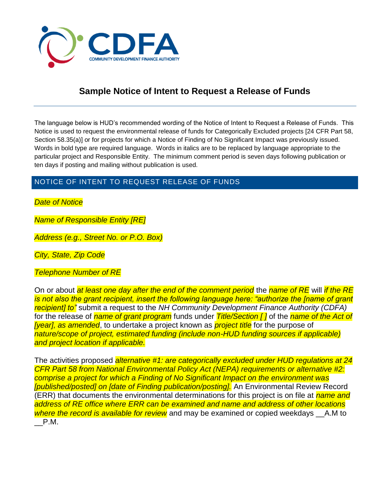

# **Sample Notice of Intent to Request a Release of Funds**

The language below is HUD's recommended wording of the Notice of Intent to Request a Release of Funds. This Notice is used to request the environmental release of funds for Categorically Excluded projects [24 CFR Part 58, Section 58.35(a)] or for projects for which a Notice of Finding of No Significant Impact was previously issued. Words in bold type are required language. Words in italics are to be replaced by language appropriate to the particular project and Responsible Entity. The minimum comment period is seven days following publication or ten days if posting and mailing without publication is used.

# NOTICE OF INTENT TO REQUEST RELEASE OF FUNDS

*Date of Notice*

*Name of Responsible Entity [RE]*

*Address (e.g., Street No. or P.O. Box)*

*City, State, Zip Code*

*Telephone Number of RE*

On or about *at least one day after the end of the comment period* the *name of RE* will *if the RE is not also the grant recipient, insert the following language here: "authorize the [name of grant recipient] to"* submit a request to the *NH Community Development Finance Authority (CDFA)*  for the release of *name of grant program* funds under *Title/Section [ ]* of the *name of the Act of [year], as amended*, to undertake a project known as *project title* for the purpose of *nature/scope of project, estimated funding (include non-HUD funding sources if applicable) and project location if applicable.*

The activities proposed *alternative #1: are categorically excluded under HUD regulations at 24 CFR Part 58 from National Environmental Policy Act (NEPA) requirements or alternative #2: comprise a project for which a Finding of No Significant Impact on the environment was [published/posted] on [date of Finding publication/posting].* An Environmental Review Record (ERR) that documents the environmental determinations for this project is on file at *name and address of RE office where ERR can be examined and name and address of other locations where the record is available for review* and may be examined or copied weekdays \_\_A.M to \_\_P.M.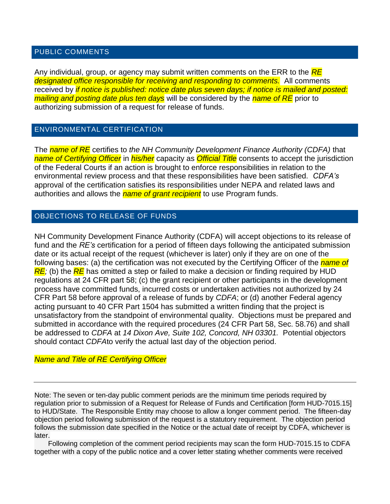#### PUBLIC COMMENTS

Any individual, group, or agency may submit written comments on the ERR to the *RE designated office responsible for receiving and responding to comments.* All comments received by *if notice is published: notice date plus seven days; if notice is mailed and posted: mailing and posting date plus ten days* will be considered by the *name of RE* prior to authorizing submission of a request for release of funds.

### ENVIRONMENTAL CERTIFICATION

The *name of RE* certifies to *the NH Community Development Finance Authority (CDFA)* that *name of Certifying Officer* in *his/her* capacity as *Official Title* consents to accept the jurisdiction of the Federal Courts if an action is brought to enforce responsibilities in relation to the environmental review process and that these responsibilities have been satisfied. *CDFA's*  approval of the certification satisfies its responsibilities under NEPA and related laws and authorities and allows the *name of grant recipient* to use Program funds.

## OBJECTIONS TO RELEASE OF FUNDS

NH Community Development Finance Authority (CDFA) will accept objections to its release of fund and the *RE's* certification for a period of fifteen days following the anticipated submission date or its actual receipt of the request (whichever is later) only if they are on one of the following bases: (a) the certification was not executed by the Certifying Officer of the *name of RE;* (b) the *RE* has omitted a step or failed to make a decision or finding required by HUD regulations at 24 CFR part 58; (c) the grant recipient or other participants in the development process have committed funds, incurred costs or undertaken activities not authorized by 24 CFR Part 58 before approval of a release of funds by *CDFA*; or (d) another Federal agency acting pursuant to 40 CFR Part 1504 has submitted a written finding that the project is unsatisfactory from the standpoint of environmental quality. Objections must be prepared and submitted in accordance with the required procedures (24 CFR Part 58, Sec. 58.76) and shall be addressed to *CDFA* at *14 Dixon Ave, Suite 102, Concord, NH 03301.* Potential objectors should contact *CDFA*to verify the actual last day of the objection period.

#### *Name and Title of RE Certifying Officer*

Note: The seven or ten-day public comment periods are the minimum time periods required by regulation prior to submission of a Request for Release of Funds and Certification [form HUD-7015.15] to HUD/State. The Responsible Entity may choose to allow a longer comment period. The fifteen-day objection period following submission of the request is a statutory requirement. The objection period follows the submission date specified in the Notice or the actual date of receipt by CDFA, whichever is later.

 Following completion of the comment period recipients may scan the form HUD-7015.15 to CDFA together with a copy of the public notice and a cover letter stating whether comments were received